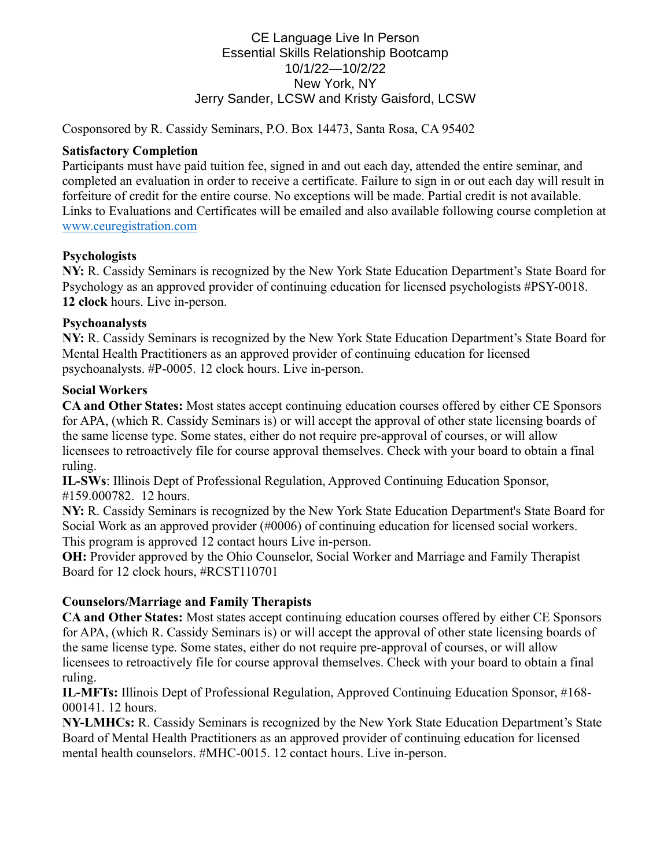## CE Language Live In Person Essential Skills Relationship Bootcamp 10/1/22—10/2/22 New York, NY Jerry Sander, LCSW and Kristy Gaisford, LCSW

Cosponsored by R. Cassidy Seminars, P.O. Box 14473, Santa Rosa, CA 95402

#### **Satisfactory Completion**

Participants must have paid tuition fee, signed in and out each day, attended the entire seminar, and completed an evaluation in order to receive a certificate. Failure to sign in or out each day will result in forfeiture of credit for the entire course. No exceptions will be made. Partial credit is not available. Links to Evaluations and Certificates will be emailed and also available following course completion at [www.ceuregistration.com](http://www.ceuregistration.com/)

## **Psychologists**

**NY:** R. Cassidy Seminars is recognized by the New York State Education Department's State Board for Psychology as an approved provider of continuing education for licensed psychologists #PSY-0018. **12 clock** hours. Live in-person.

#### **Psychoanalysts**

**NY:** R. Cassidy Seminars is recognized by the New York State Education Department's State Board for Mental Health Practitioners as an approved provider of continuing education for licensed psychoanalysts. #P-0005. 12 clock hours. Live in-person.

#### **Social Workers**

**CA and Other States:** Most states accept continuing education courses offered by either CE Sponsors for APA, (which R. Cassidy Seminars is) or will accept the approval of other state licensing boards of the same license type. Some states, either do not require pre-approval of courses, or will allow licensees to retroactively file for course approval themselves. Check with your board to obtain a final ruling.

**IL-SWs**: Illinois Dept of Professional Regulation, Approved Continuing Education Sponsor, #159.000782. 12 hours.

**NY:** R. Cassidy Seminars is recognized by the New York State Education Department's State Board for Social Work as an approved provider (#0006) of continuing education for licensed social workers. This program is approved 12 contact hours Live in-person.

**OH:** Provider approved by the Ohio Counselor, Social Worker and Marriage and Family Therapist Board for 12 clock hours, #RCST110701

# **Counselors/Marriage and Family Therapists**

**CA and Other States:** Most states accept continuing education courses offered by either CE Sponsors for APA, (which R. Cassidy Seminars is) or will accept the approval of other state licensing boards of the same license type. Some states, either do not require pre-approval of courses, or will allow licensees to retroactively file for course approval themselves. Check with your board to obtain a final ruling.

**IL-MFTs:** Illinois Dept of Professional Regulation, Approved Continuing Education Sponsor, #168- 000141. 12 hours.

**NY-LMHCs:** R. Cassidy Seminars is recognized by the New York State Education Department's State Board of Mental Health Practitioners as an approved provider of continuing education for licensed mental health counselors. #MHC-0015. 12 contact hours. Live in-person.